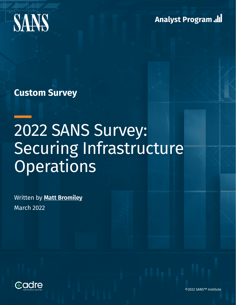

**Analyst Program Jul** 

**Custom Survey**

# 2022 SANS Survey: Securing Infrastructure **Operations**

Written by **[Matt Bromiley](https://www.sans.org/profiles/matt-bromiley/)** March 2022



©2022 SANS™ Institute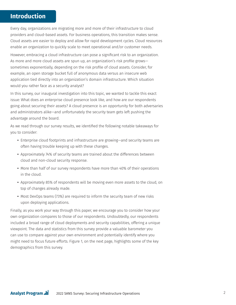# **Introduction**

Every day, organizations are migrating more and more of their infrastructure to cloud providers and cloud-based assets. For business operations, this transition makes sense. Cloud assets are easier to deploy and allow for rapid development cycles. Cloud resources enable an organization to quickly scale to meet operational and/or customer needs.

However, embracing a cloud infrastructure can pose a significant risk to an organization. As more and more cloud assets are spun up, an organization's risk profile grows sometimes exponentially, depending on the risk profile of cloud assets. Consider, for example, an open storage bucket full of anonymous data versus an insecure web application tied directly into an organization's domain infrastructure. Which situation would you rather face as a security analyst?

In this survey, our inaugural investigation into this topic, we wanted to tackle this exact issue: What does an enterprise cloud presence look like, and how are our respondents going about securing their assets? A cloud presence is an opportunity for both adversaries and administrators alike—and unfortunately the security team gets left pushing the advantage around the board.

As we read through our survey results, we identified the following notable takeaways for you to consider:

- Enterprise cloud footprints and infrastructure are growing—and security teams are often having trouble keeping up with these changes.
- Approximately 74% of security teams are trained about the differences between cloud and non-cloud security response.
- More than half of our survey respondents have more than 40% of their operations in the cloud.
- Approximately 85% of respondents will be moving even more assets to the cloud, on top of changes already made.
- Most DevOps teams (73%) are required to inform the security team of new risks upon deploying applications.

Finally, as you work your way through this paper, we encourage you to consider how your own organization compares to those of our respondents. Undoubtedly, our respondents included a broad range of cloud deployments and security capabilities, offering a unique viewpoint. The data and statistics from this survey provide a valuable barometer you can use to compare against your own environment and potentially identify where you might need to focus future efforts. Figure 1, on the next page, highlights some of the key demographics from this survey.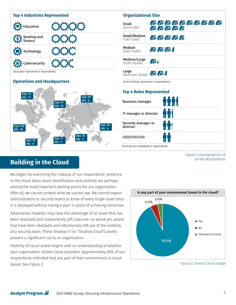

# **Building in the Cloud**

We began by examining the makeup of our respondents' presence in the cloud. Basic asset identification and visibility are perhaps among the most important starting points for any organization. After all, we cannot protect what we cannot see. We cannot expect administrators or security teams to know of every single asset once it is deployed without having a plan in place of achieving tomorrow.

Adversaries, however, may have the advantage of an asset that has been deployed and inadvertently left insecure—or worse yet, assets that have been deployed and intentionally left out of the visibility of a security team. These Shadow IT (or "Shadow Cloud") assets present a significant risk to an organization.

Visibility of cloud assets begins with an understanding of whether your organization utilizes cloud providers. Approximately 93% of our respondents indicated that any part of their environment is cloudbased. See Figure 2.

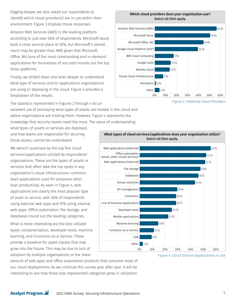Digging deeper, we also asked our respondents to identify which cloud provider(s) are in use within their environment. Figure 3 displays those responses.

Amazon Web Services (AWS) is the leading platform according to just over 56% of respondents. Microsoft Azure took a close second place at 50%, but Microsoft's overall reach may be greater than AWS given that Microsoft Office 365 (one of the most commanding and in-demand applications for businesses of any size) rounds out the top three platforms.

Finally, we drilled down one level deeper to understand what type of services and/or applications organizations are using or deploying in the cloud. Figure 4 provides a breakdown of the results.

The statistics represented in Figures 2 through 4 do an excellent job of portraying what types of assets are hosted in the cloud and where organizations are hosting them. However, Figure 4 represents the

knowledge that security teams need the most. The value of understanding

what types of assets or services are deployed, and how teams are responsible for securing those assets, cannot be understated.

We weren't surprised by the top five cloud services/applications utilized by respondents' organizations. These are the types of assets or services that often take the top spots in any organization's cloud infrastructure—common SaaS applications used for purposes other than productivity. As seen in Figure 4, web applications are clearly the most popular type of asset or service, with 56% of respondents using external web apps and 51% using internal web apps. Office automation, file storage, and databases round out the leading categories.

What is more interesting are the less-utilized types: containerization, developer tools, machine learning, and Functions-as-a-Service. These provide a baseline for asset classes that may grow into the future. This may be due to lack of adoption by multiple organizations or the sheer

**Which cloud providers does your organization use?**  *Select all that apply.*



*Figure 3. Preferred Cloud Providers*



**What types of cloud services/applications does your organization utilize?**  *Select all that apply.*

*Figure 4. Cloud Services/Applications in Use*

amount of web apps and office automation products that consume most of our cloud deployments. As we continue this survey year after year, it will be interesting to see how these less-represented categories grow in utilization.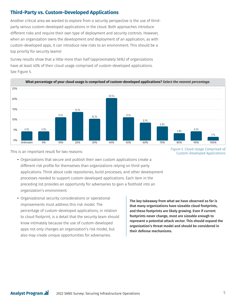# **Third-Party vs. Custom-Developed Applications**

Another critical area we wanted to explore from a security perspective is the use of thirdparty versus custom-developed applications in the cloud. Both approaches introduce different risks and require their own type of deployment and security controls. However, when an organization owns the development *and* deployment of an application, as with custom-developed apps, it can introduce new risks to an environment. This should be a top priority for security teams!

Survey results show that a little more than half (approximately 56%) of organizations have at least 40% of their cloud usage comprised of custom-developed applications. See Figure 5.



**What percentage of your cloud usage is comprised of custom-developed applications?** *Select the nearest percentage.*

This is an important result for two reasons:

**•** Organizations that secure and publish their own custom applications create a different risk profile for themselves than organizations relying on third-party applications. Think about code repositories, build processes, and other development processes needed to support custom-developed applications. Each item in the preceding list provides an opportunity for adversaries to gain a foothold into an organization's environment.

**•** Organizational security considerations or operational improvements must address this risk model. The percentage of custom-developed applications, in relation to cloud footprint, is a detail that the security team should know intimately because the use of custom-developed apps not only changes an organization's risk model, but also may create unique opportunities for adversaries.

The key takeaway from what we have observed so far is that many organizations have sizeable cloud footprints, and these footprints are likely growing. Even if current footprints never change, most are sizeable enough to represent a potential attack vector. This should expand the organization's threat model and should be considered in their defense mechanisms.

*Figure 5. Cloud Usage Comprised of Custom-Developed Applications*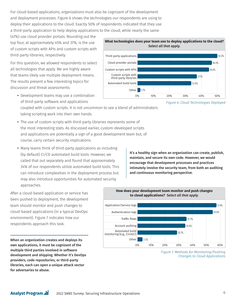For cloud-based applications, organizations must also be cognizant of the development and deployment processes. Figure 6 shows the technologies our respondents are using to deploy their applications to the cloud. Exactly 50% of respondents indicated that they use a third-party application to help deploy applications to the cloud, while nearly the same

(47%) use cloud provider portals. Rounding out the top four, at approximately 45% and 37%, is the use of custom scripts with APIs and custom scripts with third-party libraries, respectively.

For this question, we allowed respondents to select all technologies that apply. We are highly aware that teams likely use multiple deployment means. The results present a few interesting topics for discussion and threat assessments:

**•** Development teams may use a combination of third-party software and applications



*Figure 6. Cloud Technologies Deployed*

- coupled with custom scripts. It is not uncommon to see a blend of administrators taking scripting work into their own hands.
- The use of custom scripts with third-party libraries represents some of the most interesting stats. As discussed earlier, custom-developed scripts and applications are potentially a sign of a good development team but, of course, carry certain security implications.
- Many teams think of third-party applications as including (by default) CI/CD automated build tools. However, we called that out separately and found that approximately 34% of our respondents utilize automated build tools. This can introduce complexities in the deployment process but may also introduce opportunities for automated security approaches.

It's a healthy sign when an organization can create, publish, maintain, and secure its own code. However, we would encourage that development processes and practices intimately involve the security team, from both an auditing and continuous monitoring perspective.



When an organization creates and deploys its own applications, it must be cognizant of the multiple third parties involved in software development and shipping. Whether it's DevOps providers, code repositories, or third-party libraries, each can open a unique attack vector for adversaries to abuse.



**How does your development team monitor and push changes** 

*Figure 7. Methods for Monitoring/Pushing Changes to Cloud Applications*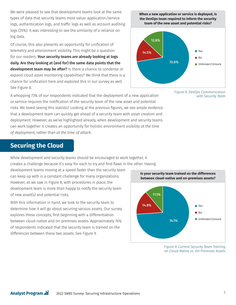We were pleased to see that development teams look at the same types of data that security teams most value: application/service logs, authentication logs, and traffic logs as well as account auditing logs (35%). It was interesting to see the similarity of a reliance on log data.

Of course, this also presents an opportunity for unification of telemetry and environment visibility. This might be a question for our readers: Your security teams are already looking at logs daily. Are they looking at (and for) the same data points that the development team may be after? Is there a chance to condense or expand cloud asset monitoring capabilities? We think that there is a chance for unification here and explored this in our survey as well. See Figure 8.





*Figure 8. DevOps Communication with Security Team*

A whopping 73% of our respondents indicated that the deployment of a new application or service requires the notification of the security team of the new asset and potential risks. We loved seeing this statistic! Looking at the previous figures, we see ample evidence that a development team can quickly get ahead of a security team with asset creation and deployment. However, as we've highlighted already, when development and security teams can work together it creates an opportunity for holistic environment visibility *at the time of deployment*, rather than *at the time of attack*.

# **Securing the Cloud**

While development and security teams should be encouraged to work together, it creates a challenge because it's easy for each to try and find flaws in the other. Having

development teams moving at a speed faster than the security team can keep up with is a constant challenge for many organizations. However, as we saw in Figure 8, with procedures in place, the development team is more than happy to notify the security team of new asset(s) and potential risks.

With this information in hand, we look to the security team to determine how it will go about securing various assets. Our survey explores these concepts, first beginning with a differentiation between cloud-native and on-premises assets. Approximately 74% of respondents indicated that the security team is trained on the differences between these two assets. See Figure 9.



*Figure 9. Current Security Team Training on Cloud-Native vs. On-Premises Assets*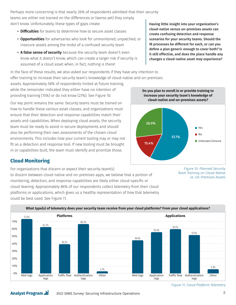Perhaps more concerning is that nearly 26% of respondents admitted that their security teams are either not trained on the differences or (worse yet) they simply don't know. Unfortunately, these types of gaps create:

- **Difficulties** for teams to determine how to secure asset classes
- **Opportunities** for adversaries who look for unmonitored, unpatched, or insecure assets among the midst of a confused security team
- **A false sense of security** because the security team doesn't even know what it doesn't know, which can create a larger risk if security is assumed of a cloud asset when, in fact, nothing is there!

In the face of these results, we also asked our respondents if they have any intention to offer training to increase their security team's knowledge of cloud-native and on-premises

assets. Approximately 58% of respondents hinted at future training, while the remainder indicated they either have no intention of providing training (15%) or do not know (27%). See Figure 10.

Our key point remains the same: Security teams must be trained on how to handle these various asset classes, and organizations must ensure that their detection and response capabilities match their assets and capabilities. When deploying cloud assets, the security team must be ready to assist in secure deployments and should also be performing their own assessments of the chosen cloud environments. This includes how your current tooling may or may not fit as a detection and response tool. If new tooling must be brought in or capabilities built, the team must identify and prioritize those.

## **Cloud Monitoring**

**Analyst Program ...** 

For organizations that discern or expect their security team(s) to discern between cloud-native and on-premises apps, we believe that a portion of monitoring, detection, and response capabilities are likely either cloud-specific or cloud-leaning. Approximately 86% of our respondents collect telemetry from their cloud platforms or applications, which gives us a healthy representation of *how* that telemetry could be best used. See Figure 11.

Having little insight into your organization's cloud-native versus on-premises assets can create confusing detection and response scenarios for your security teams. Should the IR processes be different for each, or can you define a plan generic enough to cover both? Is it still effective, and does the place handle any changes a cloud-native asset may experience?

### **Do you plan to enroll in or provide training to increase your security team's knowledge of cloud-native and on-premises assets?**



*Figure 10. Planned Security Team Training on Cloud-Native vs. On-Premises Assets*



*Figure 11. Cloud Platform Telemetry*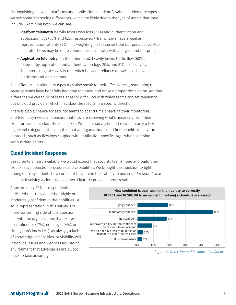Distinguishing between platforms and applications to identify valuable telemetry types, we see some interesting differences, which are likely due to the type of assets that they include. Examining both, we can see:

- **Platform telemetry** heavily favors web logs (73%) and authentication and application logs (66% and 62%, respectively). Traffic flows have a weaker representation, at only 39%. This weighting makes sense from our perspective. After all, traffic flows may be quite voluminous, especially with a large cloud footprint.
- **Application telemetry**, on the other hand, heavily favors traffic flow (60%), followed by application and authentication logs (55% and 51%, respectively). The interesting takeaway is the switch between reliance on web logs between platforms and applications.

The difference in telemetry types may also speak to their effectiveness, something that security teams have hopefully had time to assess and make a proper decision on. Another difference we can think of is the ease (or difficulty) with which teams can get telemetry out of cloud providers, which may skew the results in a specific direction.

There is also a chance for security teams to spend time analyzing their monitoring and telemetry needs and ensure that they are receiving what's necessary from their cloud providers or cloud-hosted assets. While our survey limited results to only a few high-level categories, it is possible that an organization could find benefits in a hybrid approach, such as flow logs coupled with application-specific logs to help combine various data points.

# **Cloud Incident Response**

Based on telemetry available, we would expect that security teams hone and build their cloud-native detection processes and capabilities. We brought this question to light, asking our respondents how confident they are in their ability to *detect and respond* to an incident involving a cloud-native asset. Figure 12 provides those results.

Approximately 66% of respondents indicated that they are either highly or moderately confident in their abilities—a solid representation in this survey. The more concerning side of this question lies with the organizations that expressed no confidence (27%), no insight (4%), or simply don't know (3%). As always, a lack of knowledge, capabilities, or visibility will introduce issues and weaknesses into an environment that adversaries are all too quick to take advantage of.



*Figure 12. Detection and Response Confidence*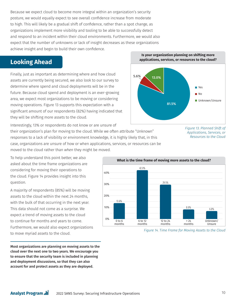Because we expect cloud to become more integral within an organization's security posture, we would equally expect to see overall confidence increase from moderate to high. This will likely be a gradual shift of confidence, rather than a spot change, as organizations implement more visibility and tooling to be able to successfully detect and respond to an incident within their cloud environments. Furthermore, we would also expect that the number of unknowns or lack of insight decreases as these organizations achieve insight and begin to build their own confidence.

# **Looking Ahead**

Finally, just as important as determining where and how cloud assets are currently being secured, we also look to our survey to determine where spend and cloud deployments will be in the future. Because cloud spend and deployment is an ever-growing area, we expect most organizations to be moving or considering moving operations. Figure 13 supports this expectation with a significant amount of our respondents (82%) having indicated that they will be shifting more assets to the cloud.

Interestingly, 13% or respondents do not know or are unsure of their organization's plan for moving to the cloud. While we often attribute "Unknown" responses to a lack of visibility or environment knowledge, it is highly likely that, in this case, organizations are unsure of how or when applications, services, or resources can be moved to the cloud rather than *when* they might be moved.

To help understand this point better, we also asked about the time frame organizations are considering for moving their operations to the cloud. Figure 14 provides insight into this question.

A majority of respondents (85%) will be moving assets to the cloud within the next 24 months, with the bulk of that occurring in the next year. This data should not come as a surprise. We expect a trend of moving assets to the cloud to continue for months and years to come. Furthermore, we would also expect organizations to move myriad assets to the cloud.

Most organizations are planning on moving assets to the cloud over the next one to two years. We encourage you to ensure that the security team is included in planning and deployment discussions, so that they can also account for and protect assets as they are deployed.









*Figure 14. Time Frame for Moving Assets to the Cloud*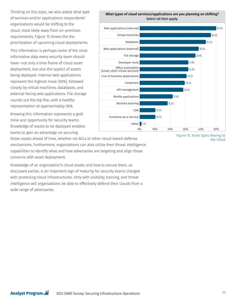Thinking on this topic, we also asked what type of services and/or applications respondents' organizations would be shifting to the cloud, most likely away from on-premises requirements. Figure 15 shows the the prioritization of upcoming cloud deployments.

This information is perhaps some of the most informative data every security team should have—not only a time frame of cloud asset deployment, but also the type(s) of assets being deployed. Internal web applications represent the highest move (50%), followed closely by virtual machines, databases, and external-facing web applications. File storage rounds out the top five, with a healthy representation at approximately 36%.

Knowing this information represents a gold mine and opportunity for security teams. Knowledge of assets to be deployed enables teams to gain an advantage on securing

those assets ahead of time, whether via ACLs or other cloud-based defense mechanisms. Furthermore, organizations can also utilize their threat intelligence capabilities to identify what and how adversaries are targeting and align those concerns with asset deployment.

Knowledge of an organization's cloud assets and how to secure them, as discussed earlier, is an important sign of maturity for security teams charged with protecting cloud infrastructures. Only with visibility, training, and threat intelligence will organizations be able to effectively defend their clouds from a wide range of adversaries.



10.2%

10.2%

**Other** 1.1%

CDN

Office automation

Developer tools

API management

Machine learning

Mobile applications

Functions-as-a-Service

Containers

(email, other virtual services)

Line of business applications



30.7% 29.5% 28.4%

31.8%

31.8%

21.6%

0% 10% 20% 30% 40% 50%

18.2%